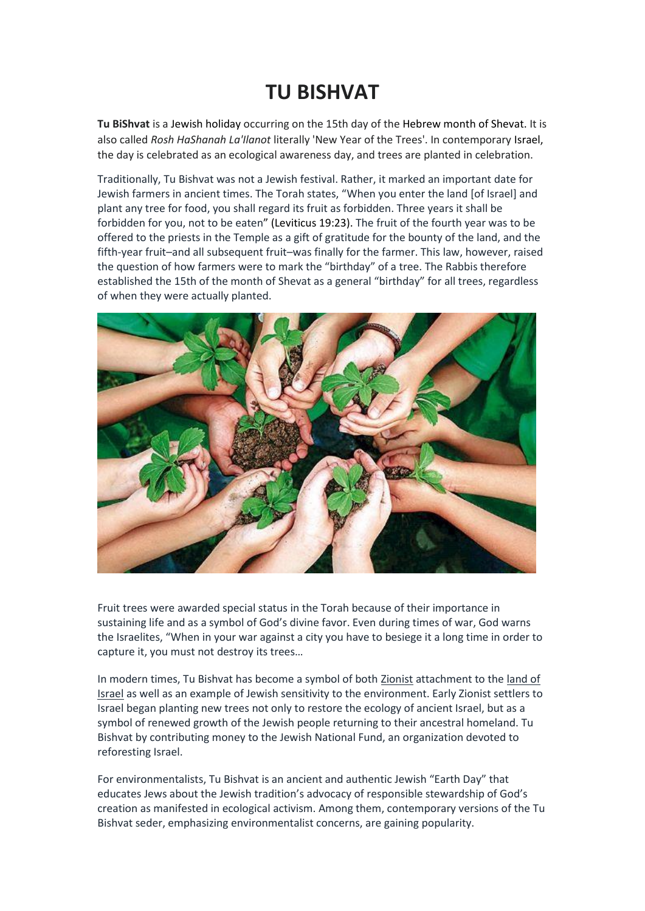## **TU BISHVAT**

**Tu BiShvat** is a [Jewish holiday](https://en.wikipedia.org/wiki/Jewish_holiday) occurring on the 15th day of the [Hebrew month](https://en.wikipedia.org/wiki/Hebrew_calendar) of [Shevat.](https://en.wikipedia.org/wiki/Shevat) It is also called *Rosh HaShanah La'Ilanot* literally 'New Year of the Trees'. In contemporary [Israel,](https://en.wikipedia.org/wiki/Israel) the day is celebrated as an ecological awareness day, and trees are planted in celebration.

Traditionally, Tu Bishvat was not a Jewish festival. Rather, it marked an important date for Jewish farmers in ancient times. The Torah states, "When you enter the land [of Israel] and plant any tree for food, you shall regard its fruit as forbidden. Three years it shall be forbidden for you, not to be eaten" [\(Leviticus 19:23\)](https://www.sefaria.org/Leviticus.19.23?lang=he-en&utm_source=myjewishlearning.com&utm_medium=sefaria_linker). The fruit of the fourth year was to be offered to the priests in the Temple as a gift of gratitude for the bounty of the land, and the fifth-year fruit–and all subsequent fruit–was finally for the farmer. This law, however, raised the question of how farmers were to mark the "birthday" of a tree. The Rabbis therefore established the 15th of the month of Shevat as a general "birthday" for all trees, regardless of when they were actually planted.



Fruit trees were awarded special status in the Torah because of their importance in sustaining life and as a symbol of God's divine favor. Even during times of war, God warns the Israelites, "When in your war against a city you have to besiege it a long time in order to capture it, you must not destroy its trees…

In modern times, Tu Bishvat has become a symbol of both [Zionist](https://www.myjewishlearning.com/article/zionism/) attachment to the [land of](https://www.myjewishlearning.com/israel/israeljewish_thought.shtml)  [Israel](https://www.myjewishlearning.com/israel/israeljewish_thought.shtml) as well as an example of Jewish sensitivity to the environment. Early Zionist settlers to Israel began planting new trees not only to restore the ecology of ancient Israel, but as a symbol of renewed growth of the Jewish people returning to their ancestral homeland. Tu Bishvat by contributing money to the Jewish National Fund, an organization devoted to reforesting Israel.

For environmentalists, Tu Bishvat is an ancient and authentic Jewish "Earth Day" that educates Jews about the Jewish tradition's advocacy of responsible stewardship of God's creation as manifested in ecological activism. Among them, contemporary versions of the Tu Bishvat seder, emphasizing environmentalist concerns, are gaining popularity.